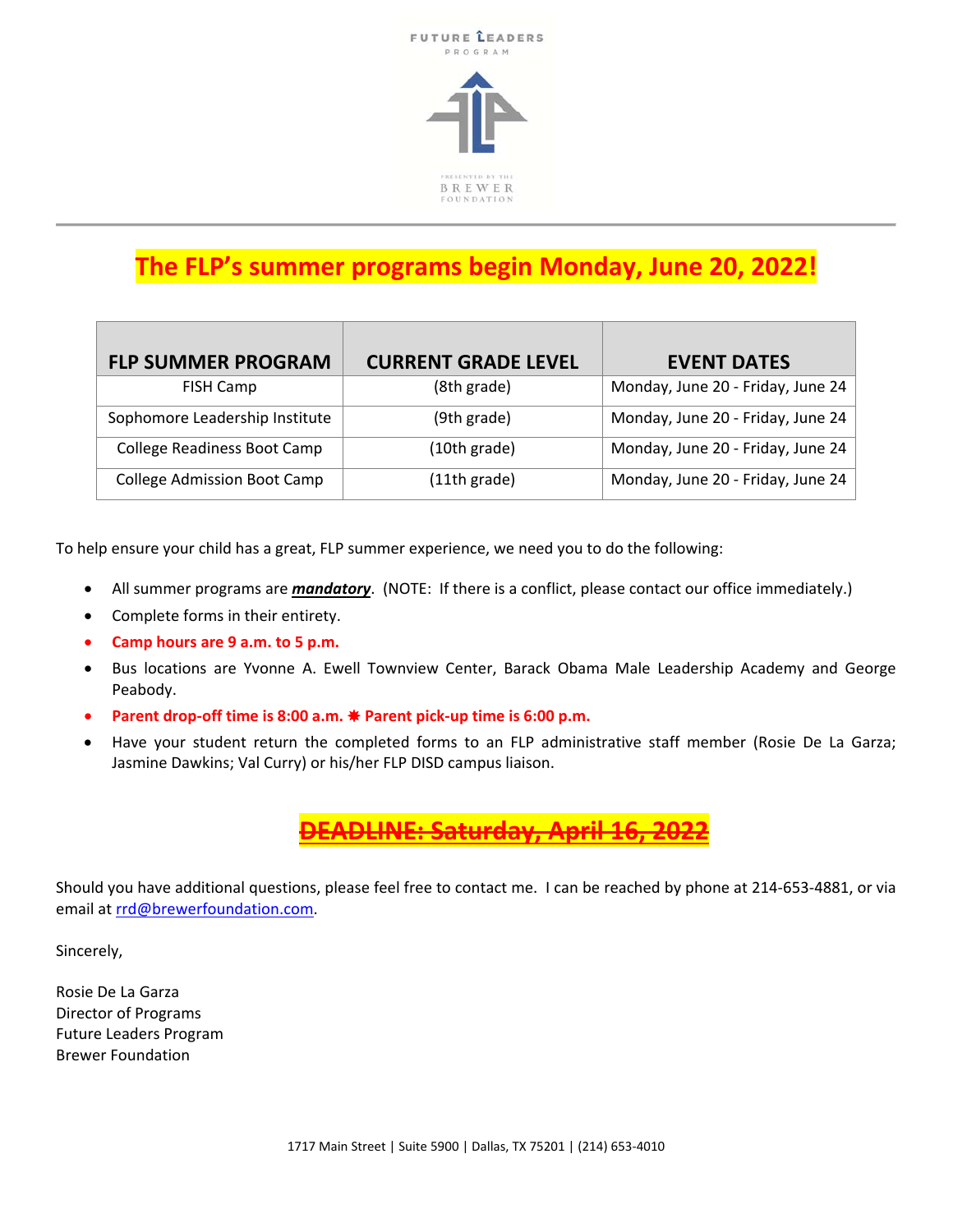

# **The FLP's summer programs begin Monday, June 20, 2022!**

| <b>FLP SUMMER PROGRAM</b>          | <b>CURRENT GRADE LEVEL</b> | <b>EVENT DATES</b>                |
|------------------------------------|----------------------------|-----------------------------------|
| FISH Camp                          | (8th grade)                | Monday, June 20 - Friday, June 24 |
| Sophomore Leadership Institute     | (9th grade)                | Monday, June 20 - Friday, June 24 |
| <b>College Readiness Boot Camp</b> | (10th grade)               | Monday, June 20 - Friday, June 24 |
| <b>College Admission Boot Camp</b> | (11th grade)               | Monday, June 20 - Friday, June 24 |

To help ensure your child has a great, FLP summer experience, we need you to do the following:

- All summer programs are *mandatory*. (NOTE: If there is a conflict, please contact our office immediately.)
- Complete forms in their entirety.
- **Camp hours are 9 a.m. to 5 p.m.**
- Bus locations are Yvonne A. Ewell Townview Center, Barack Obama Male Leadership Academy and George Peabody.
- **Parent drop‐off time is 8:00 a.m.** ✸ **Parent pick‐up time is 6:00 p.m.**
- Have your student return the completed forms to an FLP administrative staff member (Rosie De La Garza; Jasmine Dawkins; Val Curry) or his/her FLP DISD campus liaison.



Should you have additional questions, please feel free to contact me. I can be reached by phone at 214‐653‐4881, or via email at rrd@brewerfoundation.com.

Sincerely,

Rosie De La Garza Director of Programs Future Leaders Program Brewer Foundation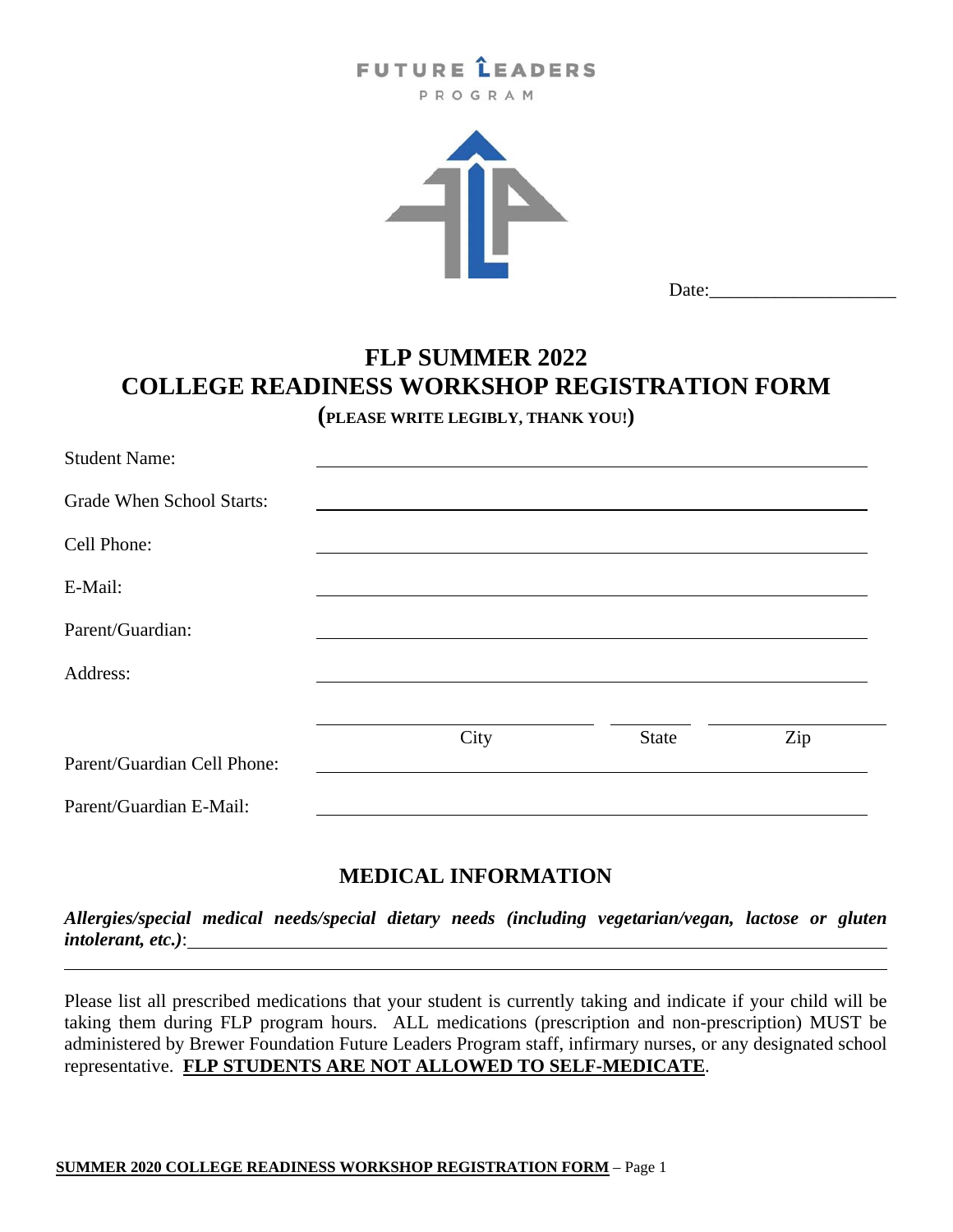## **FUTURE LEADERS**

PROGRAM



Date:\_\_\_\_\_\_\_\_\_\_\_\_\_\_\_\_\_\_\_\_

### **FLP SUMMER 2022 COLLEGE READINESS WORKSHOP REGISTRATION FORM**

**(PLEASE WRITE LEGIBLY, THANK YOU!)**

| <b>Student Name:</b>        |      |              |     |
|-----------------------------|------|--------------|-----|
| Grade When School Starts:   |      |              |     |
| Cell Phone:                 |      |              |     |
| E-Mail:                     |      |              |     |
| Parent/Guardian:            |      |              |     |
| Address:                    |      |              |     |
|                             | City | <b>State</b> | Zip |
| Parent/Guardian Cell Phone: |      |              |     |
| Parent/Guardian E-Mail:     |      |              |     |

### **MEDICAL INFORMATION**

*Allergies/special medical needs/special dietary needs (including vegetarian/vegan, lactose or gluten intolerant, etc.)*:

Please list all prescribed medications that your student is currently taking and indicate if your child will be taking them during FLP program hours. ALL medications (prescription and non-prescription) MUST be administered by Brewer Foundation Future Leaders Program staff, infirmary nurses, or any designated school representative. **FLP STUDENTS ARE NOT ALLOWED TO SELF-MEDICATE**.

l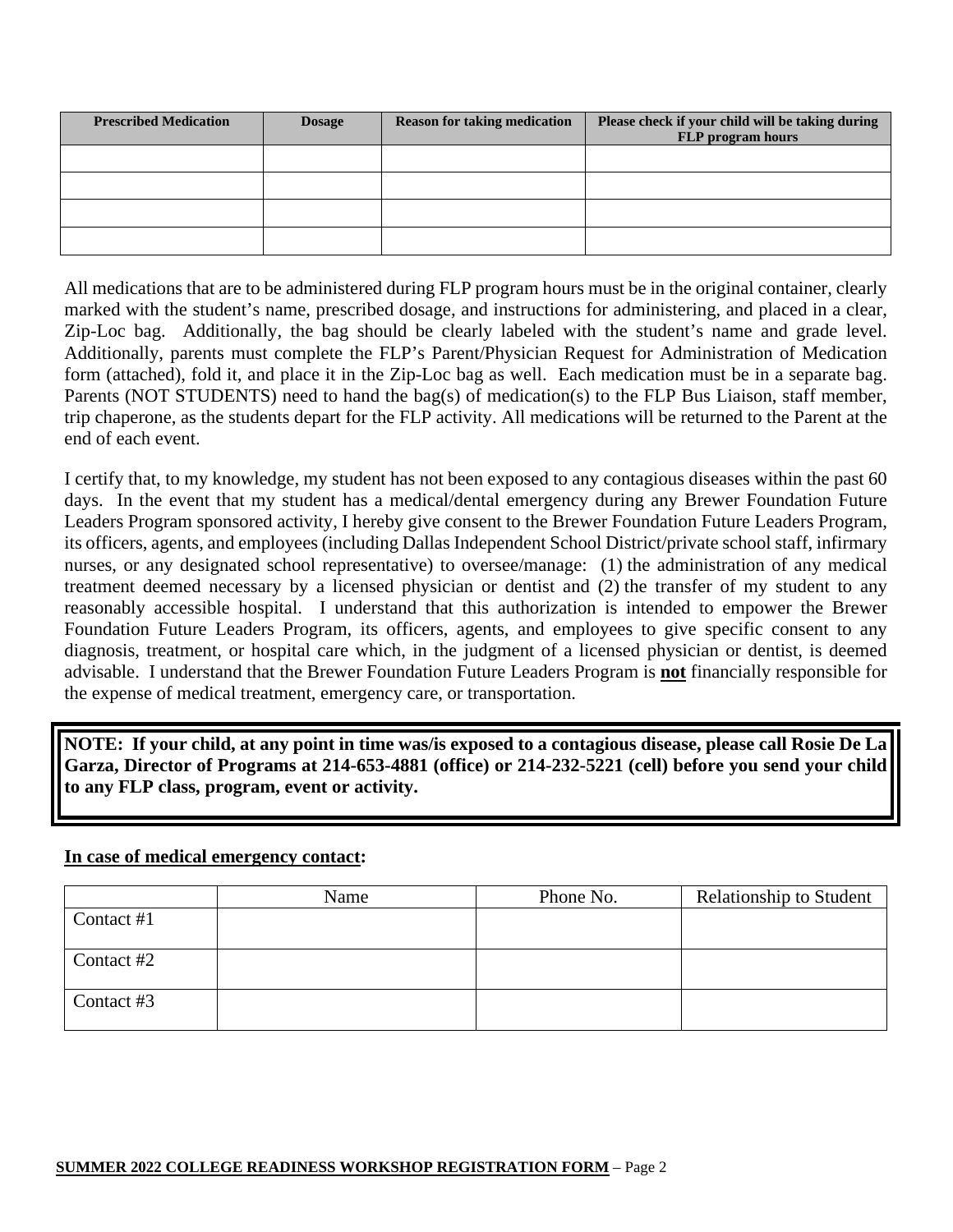| <b>Prescribed Medication</b> | <b>Dosage</b> | <b>Reason for taking medication</b> | Please check if your child will be taking during<br><b>FLP</b> program hours |
|------------------------------|---------------|-------------------------------------|------------------------------------------------------------------------------|
|                              |               |                                     |                                                                              |
|                              |               |                                     |                                                                              |
|                              |               |                                     |                                                                              |
|                              |               |                                     |                                                                              |

All medications that are to be administered during FLP program hours must be in the original container, clearly marked with the student's name, prescribed dosage, and instructions for administering, and placed in a clear, Zip-Loc bag. Additionally, the bag should be clearly labeled with the student's name and grade level. Additionally, parents must complete the FLP's Parent/Physician Request for Administration of Medication form (attached), fold it, and place it in the Zip-Loc bag as well. Each medication must be in a separate bag. Parents (NOT STUDENTS) need to hand the bag(s) of medication(s) to the FLP Bus Liaison, staff member, trip chaperone, as the students depart for the FLP activity. All medications will be returned to the Parent at the end of each event.

I certify that, to my knowledge, my student has not been exposed to any contagious diseases within the past 60 days. In the event that my student has a medical/dental emergency during any Brewer Foundation Future Leaders Program sponsored activity, I hereby give consent to the Brewer Foundation Future Leaders Program, its officers, agents, and employees (including Dallas Independent School District/private school staff, infirmary nurses, or any designated school representative) to oversee/manage: (1) the administration of any medical treatment deemed necessary by a licensed physician or dentist and (2) the transfer of my student to any reasonably accessible hospital. I understand that this authorization is intended to empower the Brewer Foundation Future Leaders Program, its officers, agents, and employees to give specific consent to any diagnosis, treatment, or hospital care which, in the judgment of a licensed physician or dentist, is deemed advisable. I understand that the Brewer Foundation Future Leaders Program is **not** financially responsible for the expense of medical treatment, emergency care, or transportation.

**NOTE: If your child, at any point in time was/is exposed to a contagious disease, please call Rosie De La Garza, Director of Programs at 214-653-4881 (office) or 214-232-5221 (cell) before you send your child to any FLP class, program, event or activity.** 

#### **In case of medical emergency contact:**

|            | Name | Phone No. | <b>Relationship to Student</b> |
|------------|------|-----------|--------------------------------|
| Contact #1 |      |           |                                |
| Contact #2 |      |           |                                |
| Contact #3 |      |           |                                |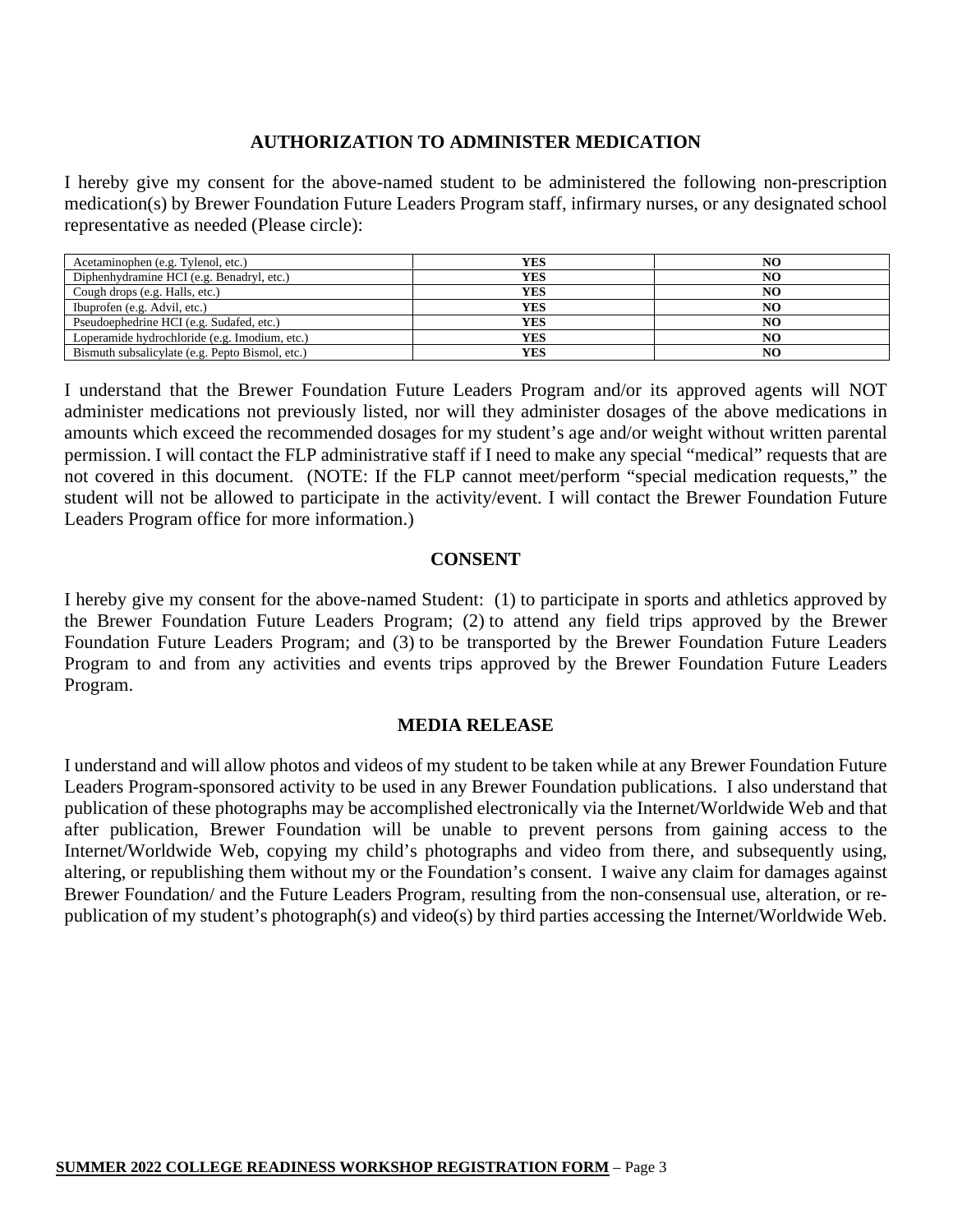#### **AUTHORIZATION TO ADMINISTER MEDICATION**

I hereby give my consent for the above-named student to be administered the following non-prescription medication(s) by Brewer Foundation Future Leaders Program staff, infirmary nurses, or any designated school representative as needed (Please circle):

| Acetaminophen (e.g. Tylenol, etc.)              | YES        | NO |
|-------------------------------------------------|------------|----|
| Diphenhydramine HCI (e.g. Benadryl, etc.)       | YES        | NO |
| Cough drops (e.g. Halls, etc.)                  | <b>YES</b> | NO |
| Ibuprofen (e.g. Advil, etc.)                    | YES        | NO |
| Pseudoephedrine HCI (e.g. Sudafed, etc.)        | YES        | NO |
| Loperamide hydrochloride (e.g. Imodium, etc.)   | YES        | NO |
| Bismuth subsalicylate (e.g. Pepto Bismol, etc.) | YES        | NO |

I understand that the Brewer Foundation Future Leaders Program and/or its approved agents will NOT administer medications not previously listed, nor will they administer dosages of the above medications in amounts which exceed the recommended dosages for my student's age and/or weight without written parental permission. I will contact the FLP administrative staff if I need to make any special "medical" requests that are not covered in this document. (NOTE: If the FLP cannot meet/perform "special medication requests," the student will not be allowed to participate in the activity/event. I will contact the Brewer Foundation Future Leaders Program office for more information.)

#### **CONSENT**

I hereby give my consent for the above-named Student: (1) to participate in sports and athletics approved by the Brewer Foundation Future Leaders Program; (2) to attend any field trips approved by the Brewer Foundation Future Leaders Program; and (3) to be transported by the Brewer Foundation Future Leaders Program to and from any activities and events trips approved by the Brewer Foundation Future Leaders Program.

#### **MEDIA RELEASE**

I understand and will allow photos and videos of my student to be taken while at any Brewer Foundation Future Leaders Program-sponsored activity to be used in any Brewer Foundation publications. I also understand that publication of these photographs may be accomplished electronically via the Internet/Worldwide Web and that after publication, Brewer Foundation will be unable to prevent persons from gaining access to the Internet/Worldwide Web, copying my child's photographs and video from there, and subsequently using, altering, or republishing them without my or the Foundation's consent. I waive any claim for damages against Brewer Foundation/ and the Future Leaders Program, resulting from the non-consensual use, alteration, or republication of my student's photograph(s) and video(s) by third parties accessing the Internet/Worldwide Web.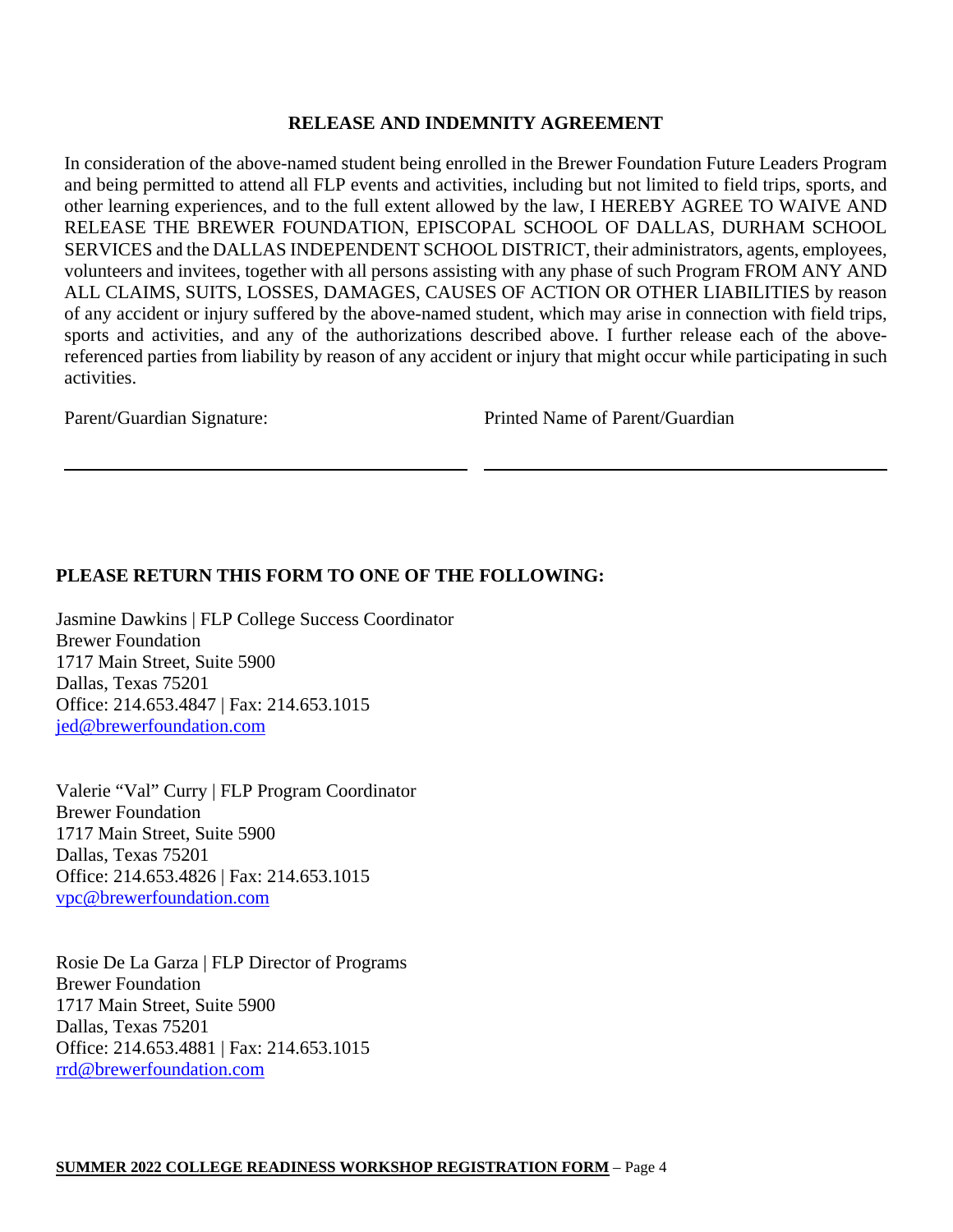#### **RELEASE AND INDEMNITY AGREEMENT**

In consideration of the above-named student being enrolled in the Brewer Foundation Future Leaders Program and being permitted to attend all FLP events and activities, including but not limited to field trips, sports, and other learning experiences, and to the full extent allowed by the law, I HEREBY AGREE TO WAIVE AND RELEASE THE BREWER FOUNDATION, EPISCOPAL SCHOOL OF DALLAS, DURHAM SCHOOL SERVICES and the DALLAS INDEPENDENT SCHOOL DISTRICT, their administrators, agents, employees, volunteers and invitees, together with all persons assisting with any phase of such Program FROM ANY AND ALL CLAIMS, SUITS, LOSSES, DAMAGES, CAUSES OF ACTION OR OTHER LIABILITIES by reason of any accident or injury suffered by the above-named student, which may arise in connection with field trips, sports and activities, and any of the authorizations described above. I further release each of the abovereferenced parties from liability by reason of any accident or injury that might occur while participating in such activities.

Parent/Guardian Signature: Printed Name of Parent/Guardian

#### **PLEASE RETURN THIS FORM TO ONE OF THE FOLLOWING:**

Jasmine Dawkins | FLP College Success Coordinator Brewer Foundation 1717 Main Street, Suite 5900 Dallas, Texas 75201 Office: 214.653.4847 | Fax: 214.653.1015 jed@brewerfoundation.com

Valerie "Val" Curry | FLP Program Coordinator Brewer Foundation 1717 Main Street, Suite 5900 Dallas, Texas 75201 Office: 214.653.4826 | Fax: 214.653.1015 vpc@brewerfoundation.com

Rosie De La Garza | FLP Director of Programs Brewer Foundation 1717 Main Street, Suite 5900 Dallas, Texas 75201 Office: 214.653.4881 | Fax: 214.653.1015 rrd@brewerfoundation.com